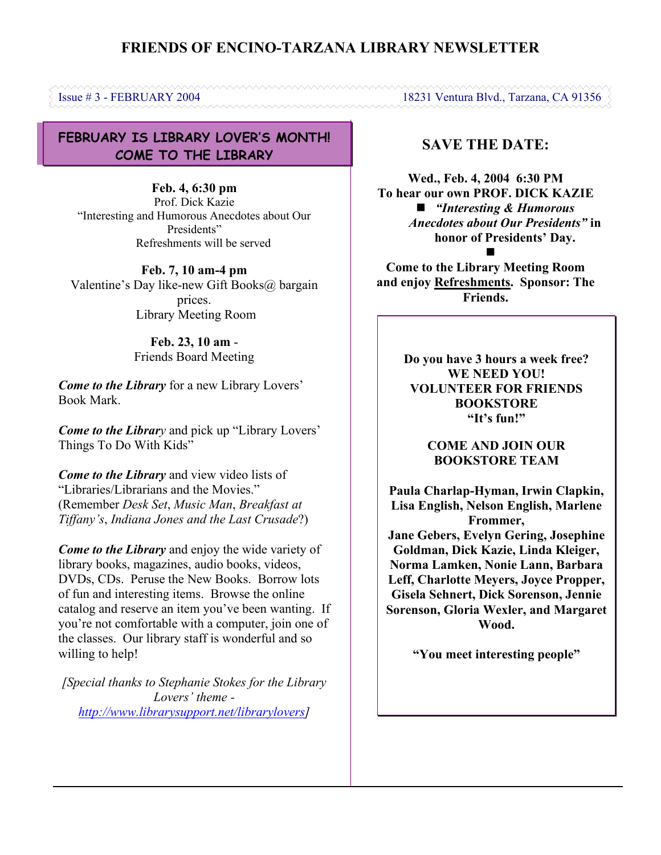# **FRIENDS OF ENCINO-TARZANA LIBRARY NEWSLETTER**

**FEBRUARY IS LIBRARY LOVER'S MONTH! COME TO THE LIBRARY**

**Feb. 4, 6:30 pm** Prof. Dick Kazie "Interesting and Humorous Anecdotes about Our Presidents" Refreshments will be served

**Feb. 7, 10 am-4 pm** Valentine's Day like-new Gift Books@ bargain prices. Library Meeting Room

> **Feb. 23, 10 am** - Friends Board Meeting

*Come to the Library* for a new Library Lovers' Book Mark.

*Come to the Library* and pick up "Library Lovers" Things To Do With Kids"

*Come to the Library* and view video lists of "Libraries/Librarians and the Movies." (Remember *Desk Set*, *Music Man*, *Breakfast at Tiffany's*, *Indiana Jones and the Last Crusade*?)

*Come to the Library* and enjoy the wide variety of library books, magazines, audio books, videos, DVDs, CDs. Peruse the New Books. Borrow lots of fun and interesting items. Browse the online catalog and reserve an item you've been wanting. If you're not comfortable with a computer, join one of the classes. Our library staff is wonderful and so willing to help!

*[Special thanks to Stephanie Stokes for the Library Lovers' theme [http://www.librarysupport.net/librarylovers\]](http://www.librarysupport.net/librarylovers)*

# **SAVE THE DATE:**

**Wed., Feb. 4, 2004 6:30 PM To hear our own PROF. DICK KAZIE** *"Interesting & Humorous Anecdotes about Our Presidents"* **in honor of Presidents' Day.** 

**Come to the Library Meeting Room and enjoy Refreshments. Sponsor: The Friends.**

> **Do you have 3 hours a week free? WE NEED YOU! VOLUNTEER FOR FRIENDS BOOKSTORE "It's fun!"**

> > **COME AND JOIN OUR BOOKSTORE TEAM**

**Paula Charlap-Hyman, Irwin Clapkin, Lisa English, Nelson English, Marlene Frommer, Jane Gebers, Evelyn Gering, Josephine Goldman, Dick Kazie, Linda Kleiger, Norma Lamken, Nonie Lann, Barbara Leff, Charlotte Meyers, Joyce Propper, Gisela Sehnert, Dick Sorenson, Jennie Sorenson, Gloria Wexler, and Margaret Wood.**

**"You meet interesting people"**

Issue # 3 - FEBRUARY 2004 18231 Ventura Blvd., Tarzana, CA 91356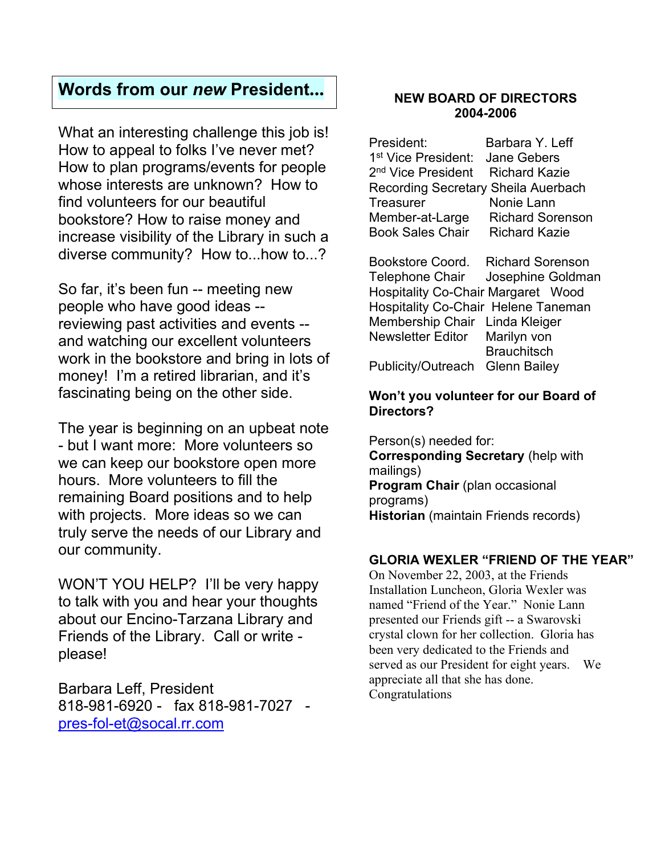# **Words from our** *new* **President...**

What an interesting challenge this job is! How to appeal to folks I've never met? How to plan programs/events for people whose interests are unknown? How to find volunteers for our beautiful bookstore? How to raise money and increase visibility of the Library in such a diverse community? How to...how to...?

So far, it's been fun -- meeting new people who have good ideas - reviewing past activities and events - and watching our excellent volunteers work in the bookstore and bring in lots of money! I'm a retired librarian, and it's fascinating being on the other side.

The year is beginning on an upbeat note - but I want more: More volunteers so we can keep our bookstore open more hours. More volunteers to fill the remaining Board positions and to help with projects. More ideas so we can truly serve the needs of our Library and our community.

WON'T YOU HELP? I'll be very happy to talk with you and hear your thoughts about our Encino-Tarzana Library and Friends of the Library. Call or write please!

Barbara Leff, President 818-981-6920 - fax 818-981-7027 [pres-fol-et@socal.rr.com](mailto:pres-fol-et@socal.rr.com)

#### **NEW BOARD OF DIRECTORS 2004-2006**

| President:                                   | Barbara Y. Leff         |
|----------------------------------------------|-------------------------|
| 1 <sup>st</sup> Vice President: Jane Gebers  |                         |
| 2 <sup>nd</sup> Vice President Richard Kazie |                         |
| Recording Secretary Sheila Auerbach          |                         |
| <b>Treasurer</b>                             | Nonie Lann              |
| Member-at-Large                              | <b>Richard Sorenson</b> |
| <b>Book Sales Chair</b>                      | <b>Richard Kazie</b>    |

Bookstore Coord. Richard Sorenson Telephone Chair Josephine Goldman Hospitality Co-Chair Margaret Wood Hospitality Co-Chair Helene Taneman Membership Chair Linda Kleiger Newsletter Editor Marilyn von **Brauchitsch** Publicity/Outreach Glenn Bailey

#### **Won't you volunteer for our Board of Directors?**

Person(s) needed for: **Corresponding Secretary** (help with mailings) **Program Chair** (plan occasional programs) **Historian** (maintain Friends records)

## **GLORIA WEXLER "FRIEND OF THE YEAR"**

On November 22, 2003, at the Friends Installation Luncheon, Gloria Wexler was named "Friend of the Year." Nonie Lann presented our Friends gift -- a Swarovski crystal clown for her collection. Gloria has been very dedicated to the Friends and served as our President for eight years. We appreciate all that she has done. Congratulations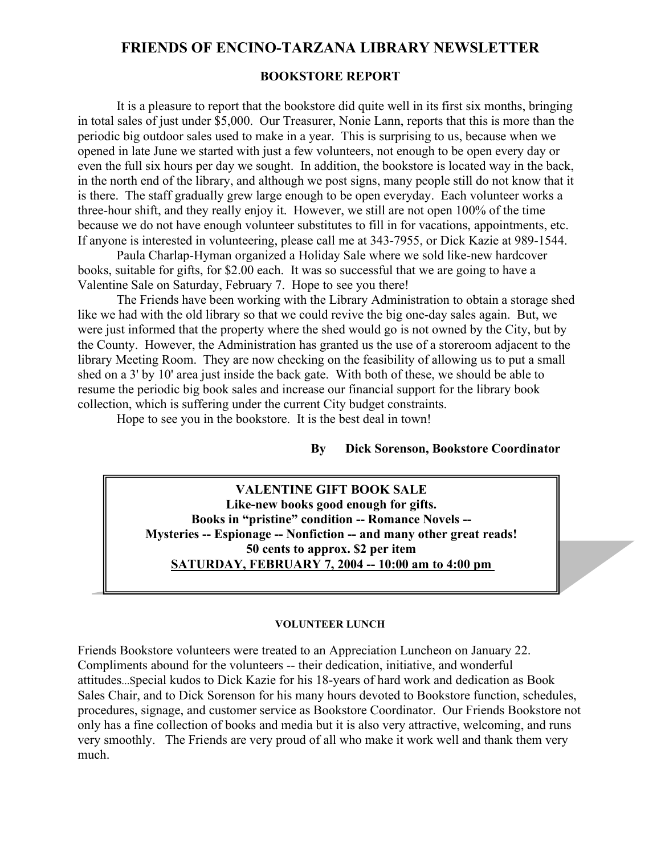## **FRIENDS OF ENCINO-TARZANA LIBRARY NEWSLETTER**

#### **BOOKSTORE REPORT**

It is a pleasure to report that the bookstore did quite well in its first six months, bringing in total sales of just under \$5,000. Our Treasurer, Nonie Lann, reports that this is more than the periodic big outdoor sales used to make in a year. This is surprising to us, because when we opened in late June we started with just a few volunteers, not enough to be open every day or even the full six hours per day we sought. In addition, the bookstore is located way in the back, in the north end of the library, and although we post signs, many people still do not know that it is there. The staff gradually grew large enough to be open everyday. Each volunteer works a three-hour shift, and they really enjoy it. However, we still are not open 100% of the time because we do not have enough volunteer substitutes to fill in for vacations, appointments, etc. If anyone is interested in volunteering, please call me at 343-7955, or Dick Kazie at 989-1544.

Paula Charlap-Hyman organized a Holiday Sale where we sold like-new hardcover books, suitable for gifts, for \$2.00 each. It was so successful that we are going to have a Valentine Sale on Saturday, February 7. Hope to see you there!

The Friends have been working with the Library Administration to obtain a storage shed like we had with the old library so that we could revive the big one-day sales again. But, we were just informed that the property where the shed would go is not owned by the City, but by the County. However, the Administration has granted us the use of a storeroom adjacent to the library Meeting Room. They are now checking on the feasibility of allowing us to put a small shed on a 3' by 10' area just inside the back gate. With both of these, we should be able to resume the periodic big book sales and increase our financial support for the library book collection, which is suffering under the current City budget constraints.

Hope to see you in the bookstore. It is the best deal in town!

#### **By Dick Sorenson, Bookstore Coordinator**

**VALENTINE GIFT BOOK SALE Like-new books good enough for gifts. Books in "pristine" condition -- Romance Novels -- Mysteries -- Espionage -- Nonfiction -- and many other great reads! 50 cents to approx. \$2 per item SATURDAY, FEBRUARY 7, 2004 -- 10:00 am to 4:00 pm** 

#### **VOLUNTEER LUNCH**

Friends Bookstore volunteers were treated to an Appreciation Luncheon on January 22. Compliments abound for the volunteers -- their dedication, initiative, and wonderful attitudes...Special kudos to Dick Kazie for his 18-years of hard work and dedication as Book Sales Chair, and to Dick Sorenson for his many hours devoted to Bookstore function, schedules, procedures, signage, and customer service as Bookstore Coordinator. Our Friends Bookstore not only has a fine collection of books and media but it is also very attractive, welcoming, and runs very smoothly. The Friends are very proud of all who make it work well and thank them very much.